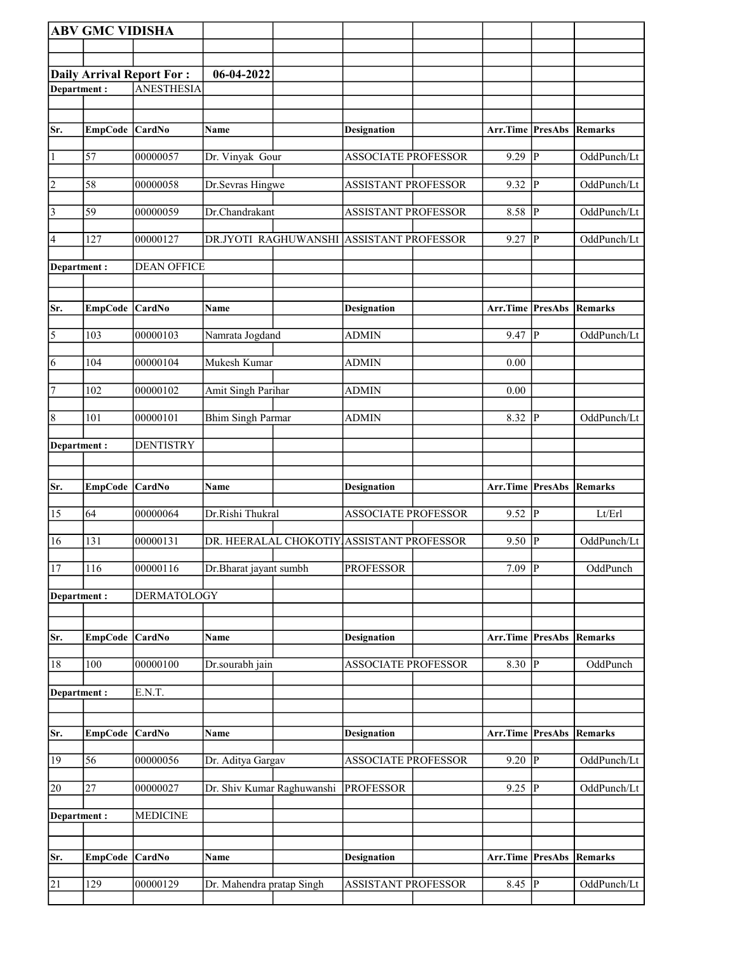|                | <b>ABV GMC VIDISHA</b> |                                  |                            |                                           |                         |   |                |
|----------------|------------------------|----------------------------------|----------------------------|-------------------------------------------|-------------------------|---|----------------|
|                |                        |                                  |                            |                                           |                         |   |                |
|                |                        | <b>Daily Arrival Report For:</b> | 06-04-2022                 |                                           |                         |   |                |
| Department:    |                        | <b>ANESTHESIA</b>                |                            |                                           |                         |   |                |
|                |                        |                                  |                            |                                           |                         |   |                |
|                |                        |                                  |                            |                                           |                         |   |                |
| Sr.            | EmpCode CardNo         |                                  | Name                       | Designation                               | Arr.Time PresAbs        |   | Remarks        |
| $\vert$ 1      | 57                     | 00000057                         | Dr. Vinyak Gour            | <b>ASSOCIATE PROFESSOR</b>                | $9.29$ P                |   | OddPunch/Lt    |
| $\overline{2}$ | 58                     | 00000058                         | Dr.Sevras Hingwe           | <b>ASSISTANT PROFESSOR</b>                | $9.32$ P                |   | OddPunch/Lt    |
| $\overline{3}$ | 59                     | 00000059                         | Dr.Chandrakant             | <b>ASSISTANT PROFESSOR</b>                | 8.58 P                  |   | OddPunch/Lt    |
| 4              | 127                    | 00000127                         |                            | DR.JYOTI RAGHUWANSHI ASSISTANT PROFESSOR  | $9.27$ P                |   | OddPunch/Lt    |
| Department :   |                        | <b>DEAN OFFICE</b>               |                            |                                           |                         |   |                |
|                |                        |                                  |                            |                                           |                         |   |                |
| Sr.            | EmpCode CardNo         |                                  | Name                       | <b>Designation</b>                        | Arr.Time PresAbs        |   | Remarks        |
| $\overline{5}$ | 103                    | 00000103                         | Namrata Jogdand            | <b>ADMIN</b>                              | $9.47$ P                |   | OddPunch/Lt    |
| $\overline{6}$ | 104                    | 00000104                         | Mukesh Kumar               | ADMIN                                     | 0.00                    |   |                |
| 7              | 102                    | 00000102                         | Amit Singh Parihar         | <b>ADMIN</b>                              | 0.00                    |   |                |
| $\overline{8}$ | 101                    | 00000101                         | <b>Bhim Singh Parmar</b>   | <b>ADMIN</b>                              | 8.32 P                  |   | OddPunch/Lt    |
| Department:    |                        | <b>DENTISTRY</b>                 |                            |                                           |                         |   |                |
|                |                        |                                  |                            |                                           |                         |   |                |
| Sr.            | <b>EmpCode</b>         | <b>CardNo</b>                    | Name                       | Designation                               | <b>Arr.Time</b> PresAbs |   | Remarks        |
| 15             | 64                     | 00000064                         | Dr.Rishi Thukral           | <b>ASSOCIATE PROFESSOR</b>                | $9.52$ P                |   | Lt/Erl         |
| 16             | 131                    | 00000131                         |                            | DR. HEERALAL CHOKOTIY ASSISTANT PROFESSOR | 9.50                    | P | OddPunch/Lt    |
| 17             | 116                    | 00000116                         | Dr.Bharat jayant sumbh     | <b>PROFESSOR</b>                          | 7.09 P                  |   | OddPunch       |
| Department:    |                        | DERMATOLOGY                      |                            |                                           |                         |   |                |
| Sr.            | <b>EmpCode</b>         | <b>CardNo</b>                    | Name                       | <b>Designation</b>                        | Arr.Time PresAbs        |   | <b>Remarks</b> |
| $18\,$         | 100                    | 00000100                         | Dr.sourabh jain            | <b>ASSOCIATE PROFESSOR</b>                | 8.30 $\overline{P}$     |   | OddPunch       |
| Department:    |                        | E.N.T.                           |                            |                                           |                         |   |                |
|                |                        |                                  |                            |                                           |                         |   |                |
| Sr.            | EmpCode CardNo         |                                  | Name                       | <b>Designation</b>                        | Arr.Time PresAbs        |   | Remarks        |
| 19             | 56                     | 00000056                         | Dr. Aditya Gargav          | <b>ASSOCIATE PROFESSOR</b>                | $9.20$ P                |   | OddPunch/Lt    |
| 20             | 27                     | 00000027                         | Dr. Shiv Kumar Raghuwanshi | <b>PROFESSOR</b>                          | $9.25$ P                |   | OddPunch/Lt    |
| Department :   |                        | <b>MEDICINE</b>                  |                            |                                           |                         |   |                |
|                |                        |                                  |                            |                                           |                         |   |                |
|                |                        |                                  |                            |                                           |                         |   |                |
| Sr.            | <b>EmpCode</b>         | <b>CardNo</b>                    | Name                       | <b>Designation</b>                        | Arr.Time PresAbs        |   | Remarks        |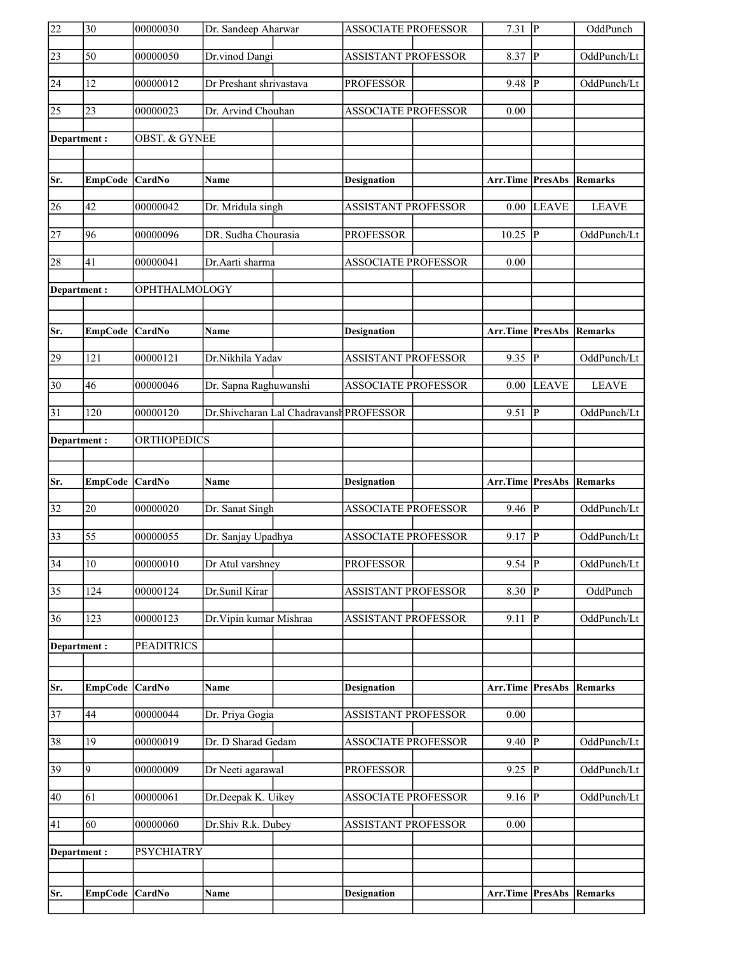| 22              | 30              | 00000030                 | Dr. Sandeep Aharwar     |                                         | <b>ASSOCIATE PROFESSOR</b> | $7.31$ P                |                | OddPunch       |
|-----------------|-----------------|--------------------------|-------------------------|-----------------------------------------|----------------------------|-------------------------|----------------|----------------|
| $\overline{23}$ | 50              | 00000050                 | Dr.vinod Dangi          |                                         | ASSISTANT PROFESSOR        | 8.37                    | $\overline{P}$ | OddPunch/Lt    |
| 24              | 12              | 00000012                 | Dr Preshant shrivastava |                                         | <b>PROFESSOR</b>           | 9.48                    | $\mathbf{P}$   | OddPunch/Lt    |
| $\overline{25}$ | 23              | 00000023                 | Dr. Arvind Chouhan      |                                         | <b>ASSOCIATE PROFESSOR</b> | 0.00                    |                |                |
| Department:     |                 | <b>OBST. &amp; GYNEE</b> |                         |                                         |                            |                         |                |                |
|                 |                 |                          |                         |                                         |                            |                         |                |                |
| Sr.             | EmpCode CardNo  |                          | <b>Name</b>             |                                         | <b>Designation</b>         | <b>Arr.Time</b> PresAbs |                | Remarks        |
| 26              | 42              | 00000042                 | Dr. Mridula singh       |                                         | <b>ASSISTANT PROFESSOR</b> | 0.00                    | <b>LEAVE</b>   | <b>LEAVE</b>   |
| $\overline{27}$ | 96              | 00000096                 | DR. Sudha Chourasia     |                                         | <b>PROFESSOR</b>           | $10.25$ P               |                | OddPunch/Lt    |
| 28              | 41              | 00000041                 | Dr.Aarti sharma         |                                         | <b>ASSOCIATE PROFESSOR</b> | 0.00                    |                |                |
| Department:     |                 | OPHTHALMOLOGY            |                         |                                         |                            |                         |                |                |
|                 |                 |                          |                         |                                         |                            |                         |                |                |
| Sr.             | EmpCode CardNo  |                          | <b>Name</b>             |                                         | <b>Designation</b>         | Arr.Time PresAbs        |                | Remarks        |
| 29              | 121             | 00000121                 | Dr.Nikhila Yadav        |                                         | <b>ASSISTANT PROFESSOR</b> | $9.35 \overline{P}$     |                | OddPunch/Lt    |
| $\overline{30}$ | 46              | 00000046                 | Dr. Sapna Raghuwanshi   |                                         | <b>ASSOCIATE PROFESSOR</b> | $0.00\,$                | <b>LEAVE</b>   | <b>LEAVE</b>   |
| 31              | 120             | 00000120                 |                         | Dr.Shivcharan Lal Chadravansh PROFESSOR |                            | 9.51                    | P              | OddPunch/Lt    |
| Department:     |                 | <b>ORTHOPEDICS</b>       |                         |                                         |                            |                         |                |                |
|                 |                 |                          |                         |                                         |                            |                         |                |                |
|                 |                 |                          |                         |                                         |                            |                         |                |                |
| Sr.             | <b>EmpCode</b>  | <b>CardNo</b>            | Name                    |                                         | <b>Designation</b>         | Arr.Time PresAbs        |                | Remarks        |
| $\overline{32}$ | 20              | 00000020                 | Dr. Sanat Singh         |                                         | <b>ASSOCIATE PROFESSOR</b> | $9.46$ P                |                | OddPunch/Lt    |
| $\overline{33}$ | 55              | 00000055                 | Dr. Sanjay Upadhya      |                                         | <b>ASSOCIATE PROFESSOR</b> | $9.17$ P                |                | OddPunch/Lt    |
| $\overline{34}$ | $\overline{10}$ | 00000010                 | Dr Atul varshney        |                                         | <b>PROFESSOR</b>           | $9.54$ P                |                | OddPunch/Lt    |
| $\overline{35}$ | 124             | 00000124                 | Dr.Sunil Kirar          |                                         | <b>ASSISTANT PROFESSOR</b> | $8.30$ P                |                | OddPunch       |
| 36              | 123             | 00000123                 | Dr. Vipin kumar Mishraa |                                         | <b>ASSISTANT PROFESSOR</b> | 9.11                    | P              | OddPunch/Lt    |
| Department:     |                 | <b>PEADITRICS</b>        |                         |                                         |                            |                         |                |                |
|                 |                 |                          |                         |                                         |                            |                         |                |                |
| Sr.             | <b>EmpCode</b>  | CardNo                   | Name                    |                                         | <b>Designation</b>         | Arr.Time PresAbs        |                | <b>Remarks</b> |
| $\overline{37}$ | 44              | 00000044                 | Dr. Priya Gogia         |                                         | <b>ASSISTANT PROFESSOR</b> | 0.00                    |                |                |
| 38              | 19              | 00000019                 | Dr. D Sharad Gedam      |                                         | <b>ASSOCIATE PROFESSOR</b> | $9.40$ P                |                | OddPunch/Lt    |
| 39              | 9               | 00000009                 | Dr Neeti agarawal       |                                         | <b>PROFESSOR</b>           | $9.25$ P                |                | OddPunch/Lt    |
| 40              | 61              | 00000061                 | Dr.Deepak K. Uikey      |                                         | <b>ASSOCIATE PROFESSOR</b> | $9.16$ P                |                | OddPunch/Lt    |
| 41              | 60              | 00000060                 | Dr.Shiv R.k. Dubey      |                                         | <b>ASSISTANT PROFESSOR</b> | 0.00                    |                |                |
| Department:     |                 | <b>PSYCHIATRY</b>        |                         |                                         |                            |                         |                |                |
|                 |                 |                          |                         |                                         |                            |                         |                |                |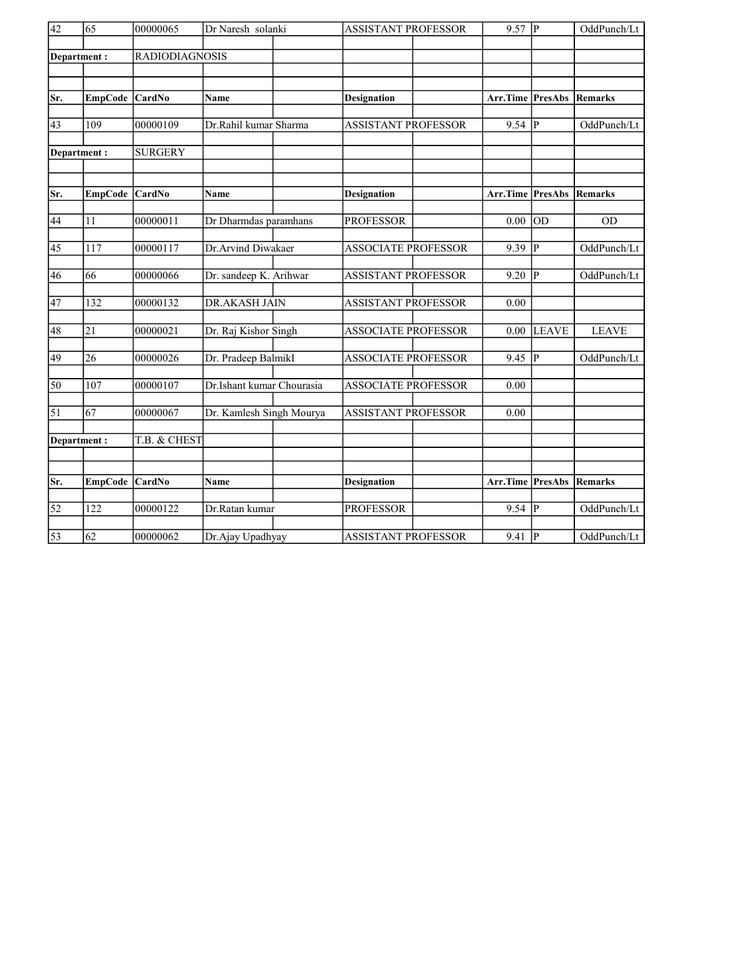| $\overline{42}$ | $\overline{65}$  | 00000065              | Dr Naresh solanki<br><b>ASSISTANT PROFESSOR</b> |                            | $9.57$ P                        |                | OddPunch/Lt  |
|-----------------|------------------|-----------------------|-------------------------------------------------|----------------------------|---------------------------------|----------------|--------------|
|                 | Department:      | <b>RADIODIAGNOSIS</b> |                                                 |                            |                                 |                |              |
|                 |                  |                       |                                                 |                            |                                 |                |              |
| Sr.             | <b>EmpCode</b>   | CardNo                | Name                                            | <b>Designation</b>         | Arr.Time                        | <b>PresAbs</b> | Remarks      |
| 43              | 109              | 00000109              | Dr.Rahil kumar Sharma                           | <b>ASSISTANT PROFESSOR</b> | $9.54$ P                        |                | OddPunch/Lt  |
|                 | Department:      | <b>SURGERY</b>        |                                                 |                            |                                 |                |              |
| Sr.             | <b>EmpCode</b>   | <b>CardNo</b>         | Name                                            | <b>Designation</b>         | <b>Arr.Time PresAbs Remarks</b> |                |              |
| 44              | 11               | 00000011              | Dr Dharmdas paramhans                           | <b>PROFESSOR</b>           | 0.00                            | <b>OD</b>      | <b>OD</b>    |
| 45              | 117              | 00000117              | Dr.Arvind Diwakaer                              | <b>ASSOCIATE PROFESSOR</b> | 9.39                            | P              | OddPunch/Lt  |
| 46              | 66               | 00000066              | Dr. sandeep K. Arihwar                          | <b>ASSISTANT PROFESSOR</b> | 9.20                            | P              | OddPunch/Lt  |
| $\overline{47}$ | 132              | 00000132              | <b>DR.AKASH JAIN</b>                            | <b>ASSISTANT PROFESSOR</b> | 0.00                            |                |              |
| 48              | 21               | 00000021              | Dr. Raj Kishor Singh                            | <b>ASSOCIATE PROFESSOR</b> | 0.00                            | <b>LEAVE</b>   | <b>LEAVE</b> |
| 49              | 26               | 00000026              | Dr. Pradeep BalmikI                             | <b>ASSOCIATE PROFESSOR</b> | 9.45                            | P              | OddPunch/Lt  |
| $\overline{50}$ | 107              | 00000107              | Dr.Ishant kumar Chourasia                       | <b>ASSOCIATE PROFESSOR</b> | 0.00                            |                |              |
| $\overline{51}$ | 67               | 00000067              | Dr. Kamlesh Singh Mourya                        | <b>ASSISTANT PROFESSOR</b> | 0.00                            |                |              |
|                 | Department:      | T.B. & CHEST          |                                                 |                            |                                 |                |              |
| Sr.             | <b>EmpCode</b>   | <b>CardNo</b>         | <b>Name</b>                                     | <b>Designation</b>         | Arr.Time PresAbs                |                | Remarks      |
|                 |                  |                       |                                                 |                            |                                 |                |              |
| $\overline{52}$ | $\overline{122}$ | 00000122              | Dr.Ratan kumar                                  | <b>PROFESSOR</b>           | 9.54                            | $\overline{P}$ | OddPunch/Lt  |
| $\overline{53}$ | 62               | 00000062              | Dr.Ajay Upadhyay                                | <b>ASSISTANT PROFESSOR</b> | 9.41                            | P              | OddPunch/Lt  |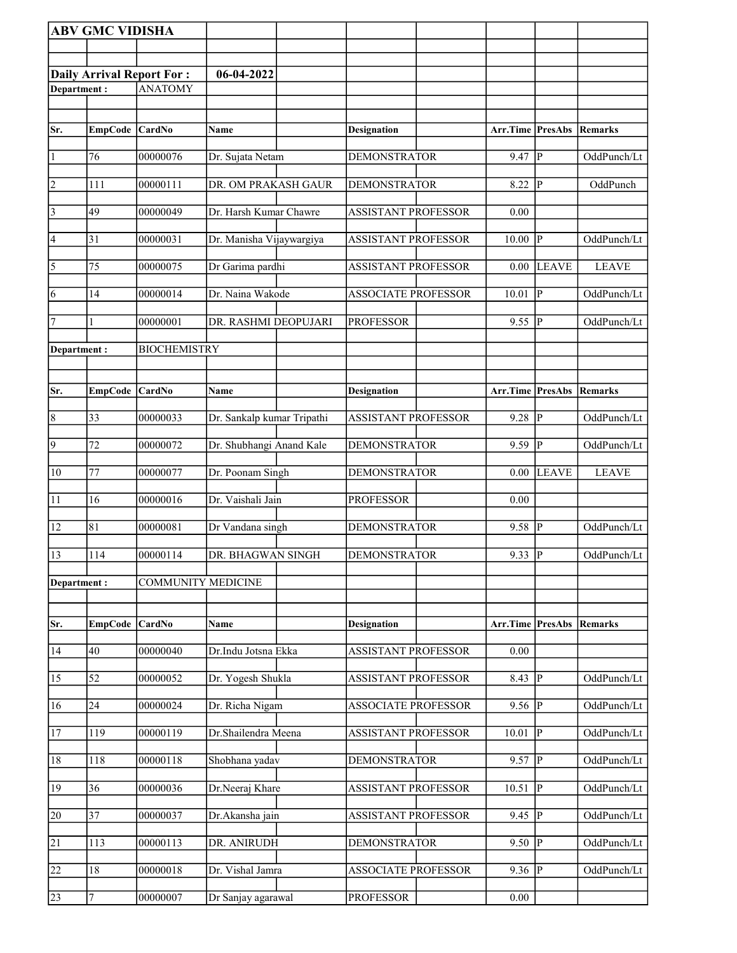|                 | <b>ABV GMC VIDISHA</b> |                                  |                            |                            |                     |                         |              |
|-----------------|------------------------|----------------------------------|----------------------------|----------------------------|---------------------|-------------------------|--------------|
|                 |                        |                                  |                            |                            |                     |                         |              |
|                 |                        | <b>Daily Arrival Report For:</b> | 06-04-2022                 |                            |                     |                         |              |
| Department:     |                        | <b>ANATOMY</b>                   |                            |                            |                     |                         |              |
|                 |                        |                                  |                            |                            |                     |                         |              |
| Sr.             | <b>EmpCode</b>         | CardNo                           | Name                       | <b>Designation</b>         | Arr.Time PresAbs    |                         | Remarks      |
| $\vert$ 1       | 76                     | 00000076                         | Dr. Sujata Netam           | <b>DEMONSTRATOR</b>        | 9.47                | $\overline{P}$          | OddPunch/Lt  |
| $\overline{2}$  | 111                    | 00000111                         | DR. OM PRAKASH GAUR        | <b>DEMONSTRATOR</b>        | 8.22                | P                       | OddPunch     |
| $\vert$ 3       | 49                     | 00000049                         | Dr. Harsh Kumar Chawre     | <b>ASSISTANT PROFESSOR</b> | 0.00                |                         |              |
| $\vert 4 \vert$ | 31                     | 00000031                         | Dr. Manisha Vijaywargiya   | <b>ASSISTANT PROFESSOR</b> | 10.00               | lР                      | OddPunch/Lt  |
| $\vert$ 5       | 75                     | 00000075                         | Dr Garima pardhi           | <b>ASSISTANT PROFESSOR</b> | 0.00                | <b>LEAVE</b>            | <b>LEAVE</b> |
| 6               | 14                     | 00000014                         | Dr. Naina Wakode           | <b>ASSOCIATE PROFESSOR</b> | 10.01               | $\mathbf{P}$            | OddPunch/Lt  |
| $\vert$ 7       |                        | 00000001                         | DR. RASHMI DEOPUJARI       | <b>PROFESSOR</b>           | 9.55                | IР                      | OddPunch/Lt  |
| Department:     |                        | <b>BIOCHEMISTRY</b>              |                            |                            |                     |                         |              |
|                 |                        |                                  |                            |                            |                     |                         |              |
| Sr.             | <b>EmpCode</b>         | CardNo                           | Name                       | <b>Designation</b>         | Arr.Time            | PresAbs                 | Remarks      |
| $\vert 8$       | 33                     | 00000033                         | Dr. Sankalp kumar Tripathi | <b>ASSISTANT PROFESSOR</b> | 9.28                | P                       | OddPunch/Lt  |
| 9               | 72                     | 00000072                         | Dr. Shubhangi Anand Kale   | <b>DEMONSTRATOR</b>        | 9.59                | $\overline{\mathbb{P}}$ | OddPunch/Lt  |
| 10              | 77                     | 00000077                         | Dr. Poonam Singh           | <b>DEMONSTRATOR</b>        | 0.00                | <b>LEAVE</b>            | <b>LEAVE</b> |
| 11              | 16                     | 00000016                         | Dr. Vaishali Jain          | <b>PROFESSOR</b>           | 0.00                |                         |              |
| 12              | 81                     | 00000081                         | Dr Vandana singh           | <b>DEMONSTRATOR</b>        | 9.58                | P                       | OddPunch/Lt  |
| $\overline{13}$ | 114                    | 00000114                         | DR. BHAGWAN SINGH          | <b>DEMONSTRATOR</b>        | $9.33 \overline{P}$ |                         | OddPunch/Lt  |
| Department:     |                        | <b>COMMUNITY MEDICINE</b>        |                            |                            |                     |                         |              |
|                 |                        |                                  |                            |                            |                     |                         |              |
| Sr.             | <b>EmpCode</b>         | CardNo                           | Name                       | Designation                | Arr.Time PresAbs    |                         | Remarks      |
| 14              | 40                     | 00000040                         | Dr.Indu Jotsna Ekka        | <b>ASSISTANT PROFESSOR</b> | $0.00\,$            |                         |              |
| 15              | $\overline{52}$        | 00000052                         | Dr. Yogesh Shukla          | <b>ASSISTANT PROFESSOR</b> | 8.43                | $\mathbf{P}$            | OddPunch/Lt  |
| 16              | 24                     | 00000024                         | Dr. Richa Nigam            | <b>ASSOCIATE PROFESSOR</b> | 9.56                | $\mathbf{P}$            | OddPunch/Lt  |
| 17              | 119                    | 00000119                         | Dr.Shailendra Meena        | <b>ASSISTANT PROFESSOR</b> | 10.01               | lР                      | OddPunch/Lt  |
| 18              | 118                    | 00000118                         | Shobhana yadav             | <b>DEMONSTRATOR</b>        | 9.57                | P                       | OddPunch/Lt  |
| 19              | 36                     | 00000036                         | Dr.Neeraj Khare            | <b>ASSISTANT PROFESSOR</b> | 10.51               | lР                      | OddPunch/Lt  |
| 20              | 37                     | 00000037                         | Dr.Akansha jain            | <b>ASSISTANT PROFESSOR</b> | 9.45                | $\overline{P}$          | OddPunch/Lt  |
| 21              | 113                    | 00000113                         | DR. ANIRUDH                | <b>DEMONSTRATOR</b>        | 9.50                | lР                      | OddPunch/Lt  |
| 22              | 18                     | 00000018                         | Dr. Vishal Jamra           | <b>ASSOCIATE PROFESSOR</b> | 9.36                | P                       | OddPunch/Lt  |
| 23              | 7                      | 00000007                         | Dr Sanjay agarawal         | <b>PROFESSOR</b>           | 0.00                |                         |              |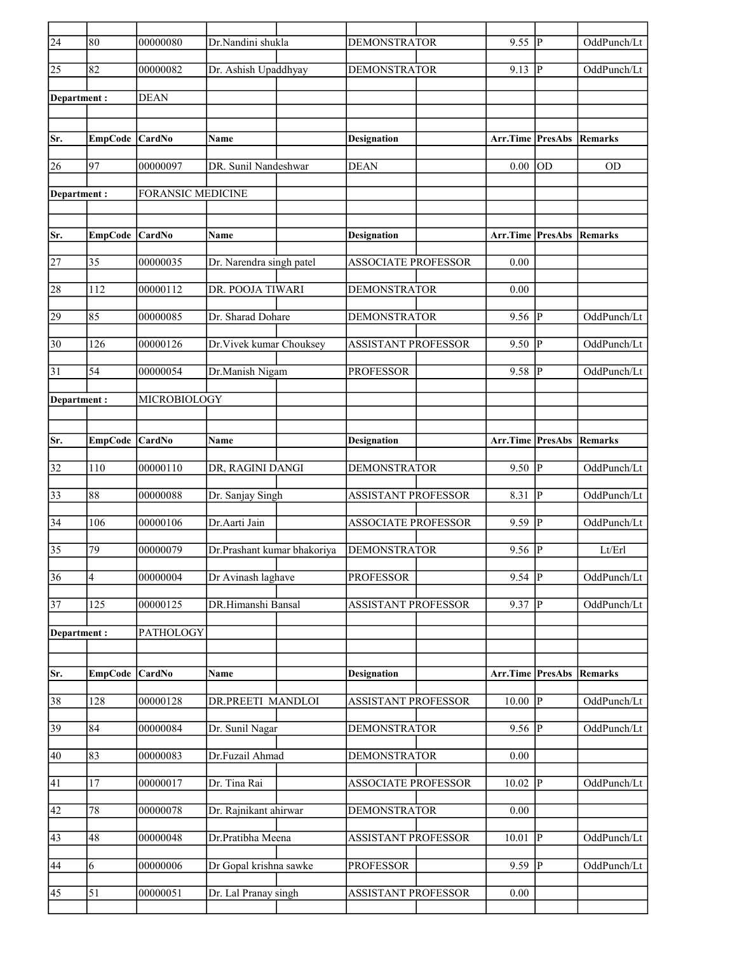| $\overline{24}$ | 80                      | 00000080                 | Dr.Nandini shukla           | <b>DEMONSTRATOR</b>        | 9.55             | P              | OddPunch/Lt    |
|-----------------|-------------------------|--------------------------|-----------------------------|----------------------------|------------------|----------------|----------------|
| 25              | 82                      | 00000082                 | Dr. Ashish Upaddhyay        | <b>DEMONSTRATOR</b>        | 9.13             | $\mathsf{P}$   | OddPunch/Lt    |
| Department:     |                         | <b>DEAN</b>              |                             |                            |                  |                |                |
|                 |                         |                          |                             |                            |                  |                |                |
| Sr.             | EmpCode                 | CardNo                   | Name                        | <b>Designation</b>         | Arr.Time PresAbs |                | Remarks        |
| 26              | $\overline{97}$         | 00000097                 | DR. Sunil Nandeshwar        | <b>DEAN</b>                | 0.00             | OD             | <b>OD</b>      |
| Department:     |                         | <b>FORANSIC MEDICINE</b> |                             |                            |                  |                |                |
|                 |                         |                          |                             |                            |                  |                |                |
| Sr.             | EmpCode                 | CardNo                   | <b>Name</b>                 | <b>Designation</b>         | Arr.Time PresAbs |                | <b>Remarks</b> |
| 27              | 35                      | 00000035                 | Dr. Narendra singh patel    | <b>ASSOCIATE PROFESSOR</b> | 0.00             |                |                |
| 28              | 112                     | 00000112                 | DR. POOJA TIWARI            | <b>DEMONSTRATOR</b>        | 0.00             |                |                |
| 29              | 85                      | 00000085                 | Dr. Sharad Dohare           | <b>DEMONSTRATOR</b>        | 9.56             | $\overline{P}$ | OddPunch/Lt    |
| 30              | 126                     | 00000126                 | Dr. Vivek kumar Chouksey    | <b>ASSISTANT PROFESSOR</b> | 9.50             | P              | OddPunch/Lt    |
| 31              | 54                      | 00000054                 | Dr.Manish Nigam             | <b>PROFESSOR</b>           | 9.58             | P              | OddPunch/Lt    |
| Department:     |                         | MICROBIOLOGY             |                             |                            |                  |                |                |
|                 |                         |                          |                             |                            |                  |                |                |
| Sr.             | <b>EmpCode</b>          | CardNo                   | <b>Name</b>                 | <b>Designation</b>         | Arr.Time         | PresAbs        | Remarks        |
| 32              | 110                     | 00000110                 | DR, RAGINI DANGI            | <b>DEMONSTRATOR</b>        | 9.50             | P              | OddPunch/Lt    |
| 33              | 88                      | 00000088                 | Dr. Sanjay Singh            | <b>ASSISTANT PROFESSOR</b> | 8.31             | $\mathsf{P}$   | OddPunch/Lt    |
| 34              | 106                     | 00000106                 | Dr.Aarti Jain               | <b>ASSOCIATE PROFESSOR</b> | 9.59             | P              | OddPunch/Lt    |
| 35              | 79                      | 00000079                 | Dr.Prashant kumar bhakoriya | <b>DEMONSTRATOR</b>        | 9.56             | $\overline{P}$ | Lt/Erl         |
| $\overline{36}$ | $\overline{\mathbf{4}}$ | 00000004                 | Dr Avinash laghave          | <b>PROFESSOR</b>           | $9.54$ P         |                | OddPunch/Lt    |
| 37              | 125                     | 00000125                 | DR.Himanshi Bansal          | ASSISTANT PROFESSOR        | 9.37             | P              | OddPunch/Lt    |
| Department:     |                         | <b>PATHOLOGY</b>         |                             |                            |                  |                |                |
|                 |                         |                          |                             |                            |                  |                |                |
| Sr.             | <b>EmpCode</b>          | CardNo                   | Name                        | <b>Designation</b>         | Arr.Time         | PresAbs        | Remarks        |
| 38              | 128                     | 00000128                 | DR.PREETI MANDLOI           | <b>ASSISTANT PROFESSOR</b> | 10.00            | P              | OddPunch/Lt    |
| 39              | 84                      | 00000084                 | Dr. Sunil Nagar             | <b>DEMONSTRATOR</b>        | $9.56$ P         |                | OddPunch/Lt    |
| 40              | 83                      | 00000083                 | Dr.Fuzail Ahmad             | <b>DEMONSTRATOR</b>        | 0.00             |                |                |
| 41              | 17                      | 00000017                 | Dr. Tina Rai                | <b>ASSOCIATE PROFESSOR</b> | 10.02            | P              | OddPunch/Lt    |
| 42              | 78                      | 00000078                 | Dr. Rajnikant ahirwar       | <b>DEMONSTRATOR</b>        | 0.00             |                |                |
| 43              | 48                      | 00000048                 | Dr.Pratibha Meena           | ASSISTANT PROFESSOR        | 10.01            | $\mathbf{P}$   | OddPunch/Lt    |
| 44              | 6                       | 00000006                 | Dr Gopal krishna sawke      | <b>PROFESSOR</b>           | 9.59             | P              | OddPunch/Lt    |
| 45              | 51                      | 00000051                 | Dr. Lal Pranay singh        | <b>ASSISTANT PROFESSOR</b> | $0.00\,$         |                |                |
|                 |                         |                          |                             |                            |                  |                |                |